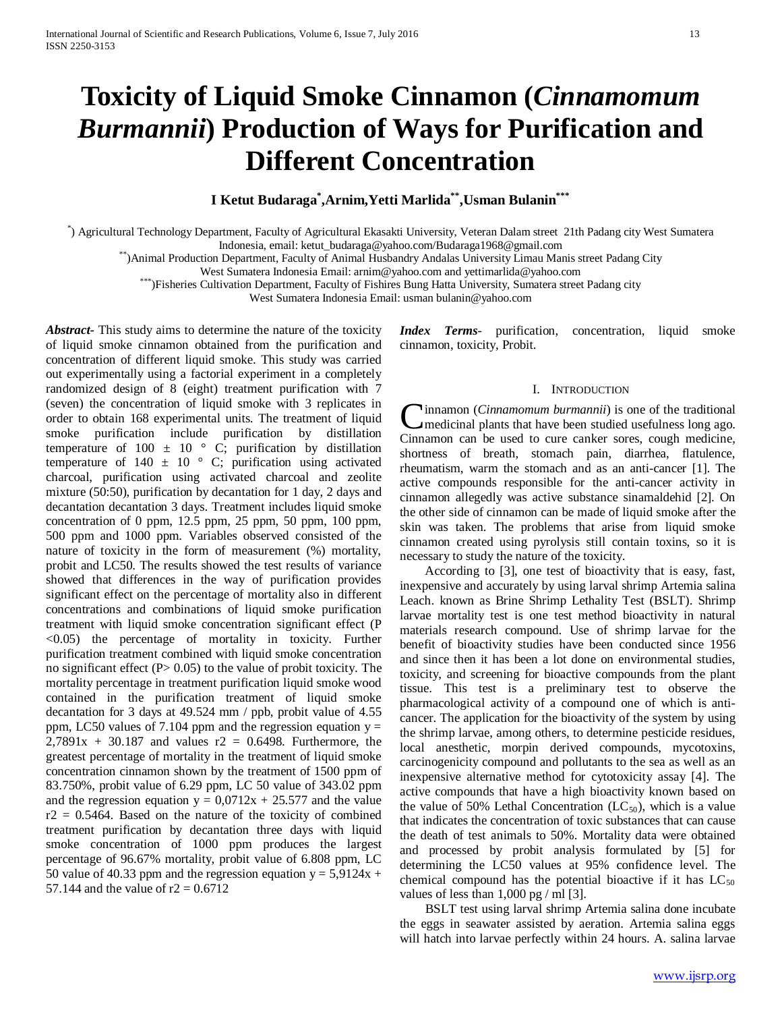# **Toxicity of Liquid Smoke Cinnamon (***Cinnamomum Burmannii***) Production of Ways for Purification and Different Concentration**

## **I Ketut Budaraga\* ,Arnim,Yetti Marlida\*\*,Usman Bulanin\*\*\***

\* ) Agricultural Technology Department, Faculty of Agricultural Ekasakti University, Veteran Dalam street 21th Padang city West Sumatera

Indonesia, email: ketut\_budaraga@yahoo.com/Budaraga1968@gmail.com \*\*)Animal Production Department, Faculty of Animal Husbandry Andalas University Limau Manis street Padang City

West Sumatera Indonesia Email: arnim@yahoo.com and yettimarlida@yahoo.com \*\*\*)Fisheries Cultivation Department, Faculty of Fishires Bung Hatta University, Sumatera street Padang city

West Sumatera Indonesia Email: usman bulanin@yahoo.com

*Abstract***-** This study aims to determine the nature of the toxicity of liquid smoke cinnamon obtained from the purification and concentration of different liquid smoke. This study was carried out experimentally using a factorial experiment in a completely randomized design of 8 (eight) treatment purification with 7 (seven) the concentration of liquid smoke with 3 replicates in order to obtain 168 experimental units. The treatment of liquid smoke purification include purification by distillation temperature of 100  $\pm$  10  $\degree$  C; purification by distillation temperature of  $140 \pm 10$  ° C; purification using activated charcoal, purification using activated charcoal and zeolite mixture (50:50), purification by decantation for 1 day, 2 days and decantation decantation 3 days. Treatment includes liquid smoke concentration of 0 ppm, 12.5 ppm, 25 ppm, 50 ppm, 100 ppm, 500 ppm and 1000 ppm. Variables observed consisted of the nature of toxicity in the form of measurement (%) mortality, probit and LC50. The results showed the test results of variance showed that differences in the way of purification provides significant effect on the percentage of mortality also in different concentrations and combinations of liquid smoke purification treatment with liquid smoke concentration significant effect (P <0.05) the percentage of mortality in toxicity. Further purification treatment combined with liquid smoke concentration no significant effect  $(P> 0.05)$  to the value of probit toxicity. The mortality percentage in treatment purification liquid smoke wood contained in the purification treatment of liquid smoke decantation for 3 days at 49.524 mm / ppb, probit value of 4.55 ppm, LC50 values of 7.104 ppm and the regression equation  $y =$  $2,7891x + 30.187$  and values  $r2 = 0.6498$ . Furthermore, the greatest percentage of mortality in the treatment of liquid smoke concentration cinnamon shown by the treatment of 1500 ppm of 83.750%, probit value of 6.29 ppm, LC 50 value of 343.02 ppm and the regression equation  $y = 0.0712x + 25.577$  and the value  $r2 = 0.5464$ . Based on the nature of the toxicity of combined treatment purification by decantation three days with liquid smoke concentration of 1000 ppm produces the largest percentage of 96.67% mortality, probit value of 6.808 ppm, LC 50 value of 40.33 ppm and the regression equation  $y = 5.9124x +$ 57.144 and the value of  $r2 = 0.6712$ 

*Index Terms*- purification, concentration, liquid smoke cinnamon, toxicity, Probit.

## I. INTRODUCTION

innamon (*Cinnamomum burmannii*) is one of the traditional medicinal plants that have been studied usefulness long ago. Cinnamon (*Cinnamomum burmannii*) is one of the traditional medicinal plants that have been studied usefulness long ago.<br>Cinnamon can be used to cure canker sores, cough medicine, shortness of breath, stomach pain, diarrhea, flatulence, rheumatism, warm the stomach and as an anti-cancer [1]. The active compounds responsible for the anti-cancer activity in cinnamon allegedly was active substance sinamaldehid [2]. On the other side of cinnamon can be made of liquid smoke after the skin was taken. The problems that arise from liquid smoke cinnamon created using pyrolysis still contain toxins, so it is necessary to study the nature of the toxicity.

 According to [3], one test of bioactivity that is easy, fast, inexpensive and accurately by using larval shrimp Artemia salina Leach. known as Brine Shrimp Lethality Test (BSLT). Shrimp larvae mortality test is one test method bioactivity in natural materials research compound. Use of shrimp larvae for the benefit of bioactivity studies have been conducted since 1956 and since then it has been a lot done on environmental studies, toxicity, and screening for bioactive compounds from the plant tissue. This test is a preliminary test to observe the pharmacological activity of a compound one of which is anticancer. The application for the bioactivity of the system by using the shrimp larvae, among others, to determine pesticide residues, local anesthetic, morpin derived compounds, mycotoxins, carcinogenicity compound and pollutants to the sea as well as an inexpensive alternative method for cytotoxicity assay [4]. The active compounds that have a high bioactivity known based on the value of 50% Lethal Concentration  $(LC_{50})$ , which is a value that indicates the concentration of toxic substances that can cause the death of test animals to 50%. Mortality data were obtained and processed by probit analysis formulated by [5] for determining the LC50 values at 95% confidence level. The chemical compound has the potential bioactive if it has  $LC_{50}$ values of less than  $1,000$  pg / ml [3].

 BSLT test using larval shrimp Artemia salina done incubate the eggs in seawater assisted by aeration. Artemia salina eggs will hatch into larvae perfectly within 24 hours. A. salina larvae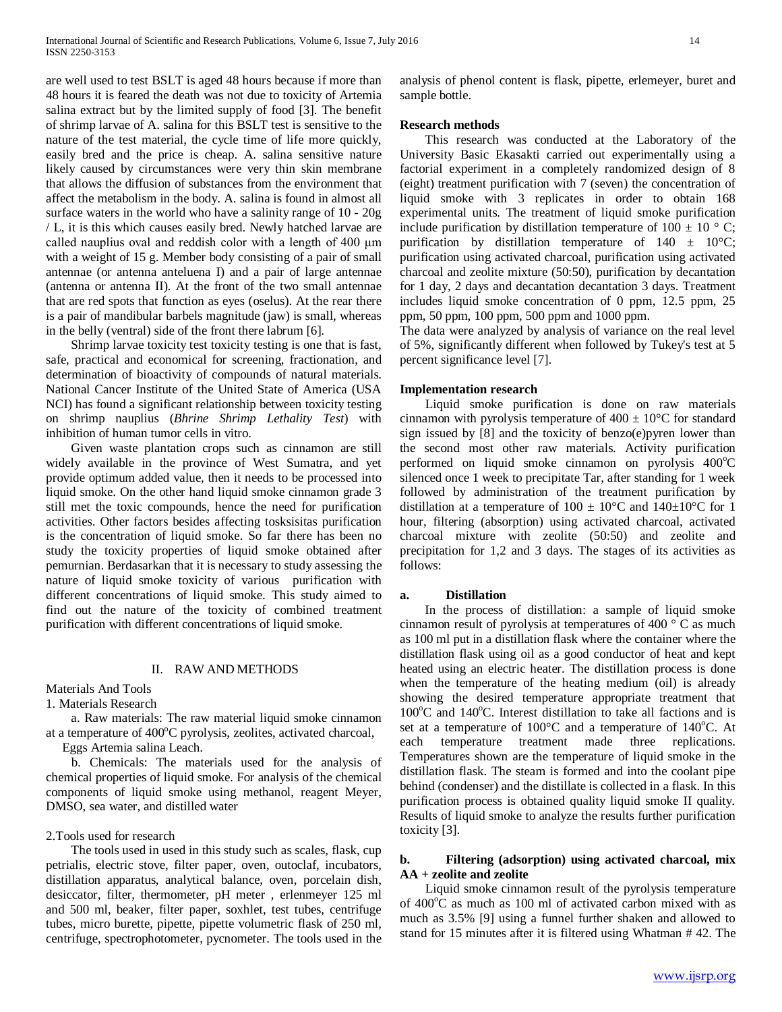are well used to test BSLT is aged 48 hours because if more than 48 hours it is feared the death was not due to toxicity of Artemia salina extract but by the limited supply of food [3]. The benefit of shrimp larvae of A. salina for this BSLT test is sensitive to the nature of the test material, the cycle time of life more quickly, easily bred and the price is cheap. A. salina sensitive nature likely caused by circumstances were very thin skin membrane that allows the diffusion of substances from the environment that affect the metabolism in the body. A. salina is found in almost all surface waters in the world who have a salinity range of 10 - 20g / L, it is this which causes easily bred. Newly hatched larvae are called nauplius oval and reddish color with a length of 400 μm with a weight of 15 g. Member body consisting of a pair of small antennae (or antenna anteluena I) and a pair of large antennae (antenna or antenna II). At the front of the two small antennae that are red spots that function as eyes (oselus). At the rear there is a pair of mandibular barbels magnitude (jaw) is small, whereas in the belly (ventral) side of the front there labrum [6].

 Shrimp larvae toxicity test toxicity testing is one that is fast, safe, practical and economical for screening, fractionation, and determination of bioactivity of compounds of natural materials. National Cancer Institute of the United State of America (USA NCI) has found a significant relationship between toxicity testing on shrimp nauplius (*Bhrine Shrimp Lethality Test*) with inhibition of human tumor cells in vitro.

 Given waste plantation crops such as cinnamon are still widely available in the province of West Sumatra, and yet provide optimum added value, then it needs to be processed into liquid smoke. On the other hand liquid smoke cinnamon grade 3 still met the toxic compounds, hence the need for purification activities. Other factors besides affecting tosksisitas purification is the concentration of liquid smoke. So far there has been no study the toxicity properties of liquid smoke obtained after pemurnian. Berdasarkan that it is necessary to study assessing the nature of liquid smoke toxicity of various purification with different concentrations of liquid smoke. This study aimed to find out the nature of the toxicity of combined treatment purification with different concentrations of liquid smoke.

## II. RAW AND METHODS

Materials And Tools

1. Materials Research

 a. Raw materials: The raw material liquid smoke cinnamon at a temperature of 400°C pyrolysis, zeolites, activated charcoal,

Eggs Artemia salina Leach.

 b. Chemicals: The materials used for the analysis of chemical properties of liquid smoke. For analysis of the chemical components of liquid smoke using methanol, reagent Meyer, DMSO, sea water, and distilled water

## 2.Tools used for research

 The tools used in used in this study such as scales, flask, cup petrialis, electric stove, filter paper, oven, outoclaf, incubators, distillation apparatus, analytical balance, oven, porcelain dish, desiccator, filter, thermometer, pH meter , erlenmeyer 125 ml and 500 ml, beaker, filter paper, soxhlet, test tubes, centrifuge tubes, micro burette, pipette, pipette volumetric flask of 250 ml, centrifuge, spectrophotometer, pycnometer. The tools used in the analysis of phenol content is flask, pipette, erlemeyer, buret and sample bottle.

## **Research methods**

 This research was conducted at the Laboratory of the University Basic Ekasakti carried out experimentally using a factorial experiment in a completely randomized design of 8 (eight) treatment purification with 7 (seven) the concentration of liquid smoke with 3 replicates in order to obtain 168 experimental units. The treatment of liquid smoke purification include purification by distillation temperature of 100  $\pm$  10 ° C; purification by distillation temperature of  $140 \pm 10^{\circ}$ C; purification using activated charcoal, purification using activated charcoal and zeolite mixture (50:50), purification by decantation for 1 day, 2 days and decantation decantation 3 days. Treatment includes liquid smoke concentration of 0 ppm, 12.5 ppm, 25 ppm, 50 ppm, 100 ppm, 500 ppm and 1000 ppm.

The data were analyzed by analysis of variance on the real level of 5%, significantly different when followed by Tukey's test at 5 percent significance level [7].

## **Implementation research**

 Liquid smoke purification is done on raw materials cinnamon with pyrolysis temperature of  $400 \pm 10^{\circ}$ C for standard sign issued by [8] and the toxicity of benzo(e)pyren lower than the second most other raw materials. Activity purification performed on liquid smoke cinnamon on pyrolysis 400°C silenced once 1 week to precipitate Tar, after standing for 1 week followed by administration of the treatment purification by distillation at a temperature of  $100 \pm 10^{\circ}$ C and  $140 \pm 10^{\circ}$ C for 1 hour, filtering (absorption) using activated charcoal, activated charcoal mixture with zeolite (50:50) and zeolite and precipitation for 1,2 and 3 days. The stages of its activities as follows:

#### **a. Distillation**

 In the process of distillation: a sample of liquid smoke cinnamon result of pyrolysis at temperatures of 400 ° C as much as 100 ml put in a distillation flask where the container where the distillation flask using oil as a good conductor of heat and kept heated using an electric heater. The distillation process is done when the temperature of the heating medium (oil) is already showing the desired temperature appropriate treatment that 100°C and 140°C. Interest distillation to take all factions and is set at a temperature of  $100^{\circ}$ C and a temperature of  $140^{\circ}$ C. At each temperature treatment made three replications. Temperatures shown are the temperature of liquid smoke in the distillation flask. The steam is formed and into the coolant pipe behind (condenser) and the distillate is collected in a flask. In this purification process is obtained quality liquid smoke II quality. Results of liquid smoke to analyze the results further purification toxicity [3].

## **b. Filtering (adsorption) using activated charcoal, mix AA + zeolite and zeolite**

 Liquid smoke cinnamon result of the pyrolysis temperature of  $400^{\circ}$ C as much as 100 ml of activated carbon mixed with as much as 3.5% [9] using a funnel further shaken and allowed to stand for 15 minutes after it is filtered using Whatman # 42. The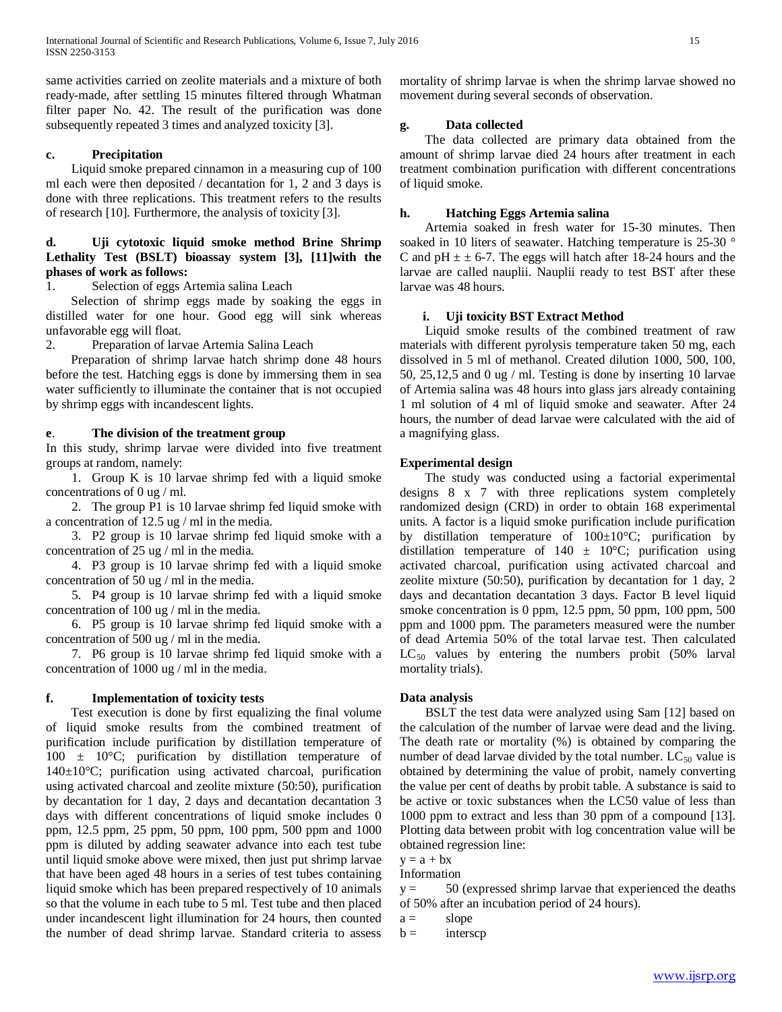same activities carried on zeolite materials and a mixture of both ready-made, after settling 15 minutes filtered through Whatman filter paper No. 42. The result of the purification was done subsequently repeated 3 times and analyzed toxicity [3].

## **c. Precipitation**

 Liquid smoke prepared cinnamon in a measuring cup of 100 ml each were then deposited / decantation for 1, 2 and 3 days is done with three replications. This treatment refers to the results of research [10]. Furthermore, the analysis of toxicity [3].

## **d. Uji cytotoxic liquid smoke method Brine Shrimp Lethality Test (BSLT) bioassay system [3], [11]with the phases of work as follows:**

Selection of eggs Artemia salina Leach

 Selection of shrimp eggs made by soaking the eggs in distilled water for one hour. Good egg will sink whereas unfavorable egg will float.

2. Preparation of larvae Artemia Salina Leach

 Preparation of shrimp larvae hatch shrimp done 48 hours before the test. Hatching eggs is done by immersing them in sea water sufficiently to illuminate the container that is not occupied by shrimp eggs with incandescent lights.

## **e**. **The division of the treatment group**

In this study, shrimp larvae were divided into five treatment groups at random, namely:

 1. Group K is 10 larvae shrimp fed with a liquid smoke concentrations of 0 ug / ml.

 2. The group P1 is 10 larvae shrimp fed liquid smoke with a concentration of 12.5 ug / ml in the media.

 3. P2 group is 10 larvae shrimp fed liquid smoke with a concentration of 25 ug / ml in the media.

 4. P3 group is 10 larvae shrimp fed with a liquid smoke concentration of 50 ug / ml in the media.

 5. P4 group is 10 larvae shrimp fed with a liquid smoke concentration of 100 ug / ml in the media.

 6. P5 group is 10 larvae shrimp fed liquid smoke with a concentration of 500 ug / ml in the media.

 7. P6 group is 10 larvae shrimp fed liquid smoke with a concentration of 1000 ug / ml in the media.

## **f. Implementation of toxicity tests**

 Test execution is done by first equalizing the final volume of liquid smoke results from the combined treatment of purification include purification by distillation temperature of  $100 \pm 10^{\circ}$ C; purification by distillation temperature of 140±10°C; purification using activated charcoal, purification using activated charcoal and zeolite mixture (50:50), purification by decantation for 1 day, 2 days and decantation decantation 3 days with different concentrations of liquid smoke includes 0 ppm, 12.5 ppm, 25 ppm, 50 ppm, 100 ppm, 500 ppm and 1000 ppm is diluted by adding seawater advance into each test tube until liquid smoke above were mixed, then just put shrimp larvae that have been aged 48 hours in a series of test tubes containing liquid smoke which has been prepared respectively of 10 animals so that the volume in each tube to 5 ml. Test tube and then placed under incandescent light illumination for 24 hours, then counted the number of dead shrimp larvae. Standard criteria to assess mortality of shrimp larvae is when the shrimp larvae showed no movement during several seconds of observation.

## **g. Data collected**

 The data collected are primary data obtained from the amount of shrimp larvae died 24 hours after treatment in each treatment combination purification with different concentrations of liquid smoke.

## **h. Hatching Eggs Artemia salina**

 Artemia soaked in fresh water for 15-30 minutes. Then soaked in 10 liters of seawater. Hatching temperature is 25-30 ° C and  $pH \pm \pm 6$ -7. The eggs will hatch after 18-24 hours and the larvae are called nauplii. Nauplii ready to test BST after these larvae was 48 hours.

## **i. Uji toxicity BST Extract Method**

 Liquid smoke results of the combined treatment of raw materials with different pyrolysis temperature taken 50 mg, each dissolved in 5 ml of methanol. Created dilution 1000, 500, 100, 50, 25,12,5 and 0 ug / ml. Testing is done by inserting 10 larvae of Artemia salina was 48 hours into glass jars already containing 1 ml solution of 4 ml of liquid smoke and seawater. After 24 hours, the number of dead larvae were calculated with the aid of a magnifying glass.

## **Experimental design**

 The study was conducted using a factorial experimental designs 8 x 7 with three replications system completely randomized design (CRD) in order to obtain 168 experimental units. A factor is a liquid smoke purification include purification by distillation temperature of  $100\pm10^{\circ}$ C; purification by distillation temperature of  $140 \pm 10^{\circ}$ C; purification using activated charcoal, purification using activated charcoal and zeolite mixture (50:50), purification by decantation for 1 day, 2 days and decantation decantation 3 days. Factor B level liquid smoke concentration is 0 ppm, 12.5 ppm, 50 ppm, 100 ppm, 500 ppm and 1000 ppm. The parameters measured were the number of dead Artemia 50% of the total larvae test. Then calculated  $LC_{50}$  values by entering the numbers probit (50% larval mortality trials).

## **Data analysis**

 BSLT the test data were analyzed using Sam [12] based on the calculation of the number of larvae were dead and the living. The death rate or mortality (%) is obtained by comparing the number of dead larvae divided by the total number.  $LC_{50}$  value is obtained by determining the value of probit, namely converting the value per cent of deaths by probit table. A substance is said to be active or toxic substances when the LC50 value of less than 1000 ppm to extract and less than 30 ppm of a compound [13]. Plotting data between probit with log concentration value will be obtained regression line:

 $y = a + bx$ 

Information

 $y = 50$  (expressed shrimp larvae that experienced the deaths of 50% after an incubation period of 24 hours).

 $b =$  interscp

 $a =$  slope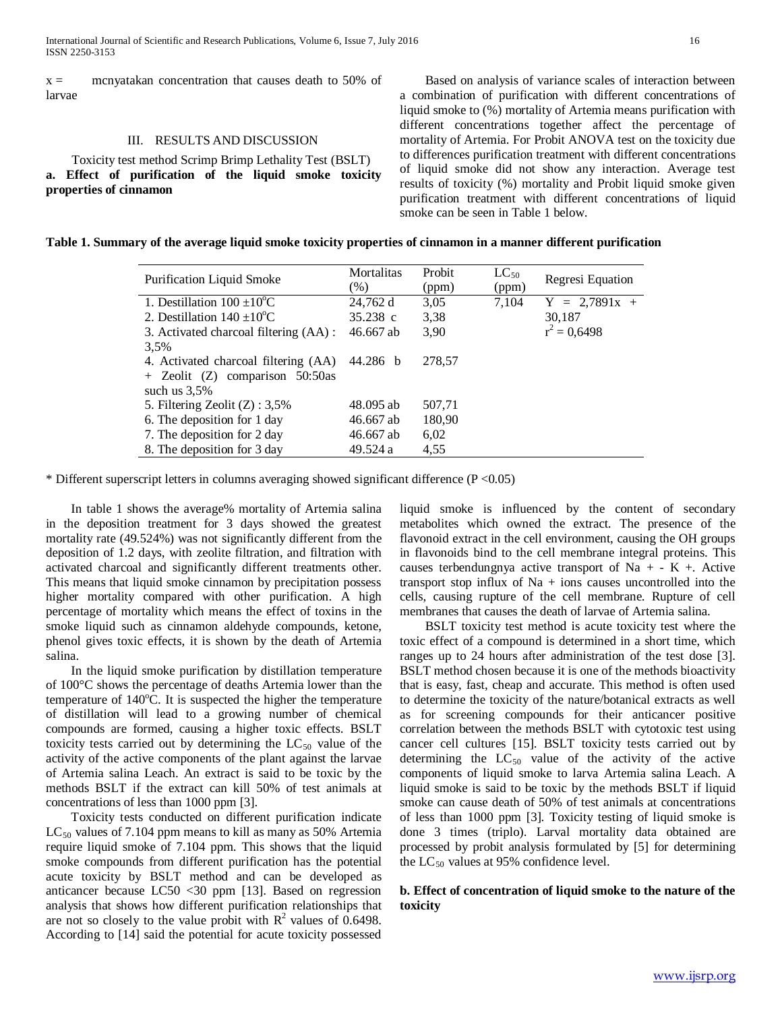$x =$  mcnyatakan concentration that causes death to 50% of larvae

## III. RESULTS AND DISCUSSION

 Toxicity test method Scrimp Brimp Lethality Test (BSLT) **a. Effect of purification of the liquid smoke toxicity properties of cinnamon**

 Based on analysis of variance scales of interaction between a combination of purification with different concentrations of liquid smoke to (%) mortality of Artemia means purification with different concentrations together affect the percentage of mortality of Artemia. For Probit ANOVA test on the toxicity due to differences purification treatment with different concentrations of liquid smoke did not show any interaction. Average test results of toxicity (%) mortality and Probit liquid smoke given purification treatment with different concentrations of liquid smoke can be seen in Table 1 below.

|  |  |  | Table 1. Summary of the average liquid smoke toxicity properties of cinnamon in a manner different purification |
|--|--|--|-----------------------------------------------------------------------------------------------------------------|
|  |  |  |                                                                                                                 |
|  |  |  |                                                                                                                 |
|  |  |  |                                                                                                                 |

| <b>Purification Liquid Smoke</b>       | <b>Mortalitas</b><br>$(\%)$ | Probit<br>(ppm) | $LC_{50}$<br>(ppm) | Regresi Equation |
|----------------------------------------|-----------------------------|-----------------|--------------------|------------------|
| 1. Destillation $100 \pm 10^{\circ}$ C | 24,762 d                    | 3,05            | 7,104              | $Y = 2,7891x +$  |
| 2. Destillation $140 \pm 10^{\circ}$ C | $35.238$ c                  | 3,38            |                    | 30,187           |
| 3. Activated charcoal filtering (AA) : | 46.667 ab                   | 3,90            |                    | $r^2 = 0,6498$   |
| 3.5%                                   |                             |                 |                    |                  |
| 4. Activated charcoal filtering (AA)   | 44.286 b                    | 278.57          |                    |                  |
| $+$ Zeolit (Z) comparison 50:50as      |                             |                 |                    |                  |
| such us $3.5\%$                        |                             |                 |                    |                  |
| 5. Filtering Zeolit $(Z)$ : 3,5%       | 48.095 ab                   | 507,71          |                    |                  |
| 6. The deposition for 1 day            | 46.667 ab                   | 180,90          |                    |                  |
| 7. The deposition for 2 day            | 46.667 ab                   | 6,02            |                    |                  |
| 8. The deposition for 3 day            | 49.524 a                    | 4,55            |                    |                  |

\* Different superscript letters in columns averaging showed significant difference (P <0.05)

 In table 1 shows the average% mortality of Artemia salina in the deposition treatment for 3 days showed the greatest mortality rate (49.524%) was not significantly different from the deposition of 1.2 days, with zeolite filtration, and filtration with activated charcoal and significantly different treatments other. This means that liquid smoke cinnamon by precipitation possess higher mortality compared with other purification. A high percentage of mortality which means the effect of toxins in the smoke liquid such as cinnamon aldehyde compounds, ketone, phenol gives toxic effects, it is shown by the death of Artemia salina.

 In the liquid smoke purification by distillation temperature of 100°C shows the percentage of deaths Artemia lower than the temperature of  $140^{\circ}$ C. It is suspected the higher the temperature of distillation will lead to a growing number of chemical compounds are formed, causing a higher toxic effects. BSLT toxicity tests carried out by determining the  $LC_{50}$  value of the activity of the active components of the plant against the larvae of Artemia salina Leach. An extract is said to be toxic by the methods BSLT if the extract can kill 50% of test animals at concentrations of less than 1000 ppm [3].

 Toxicity tests conducted on different purification indicate  $LC_{50}$  values of 7.104 ppm means to kill as many as 50% Artemia require liquid smoke of 7.104 ppm. This shows that the liquid smoke compounds from different purification has the potential acute toxicity by BSLT method and can be developed as anticancer because LC50 <30 ppm [13]. Based on regression analysis that shows how different purification relationships that are not so closely to the value probit with  $R^2$  values of 0.6498. According to [14] said the potential for acute toxicity possessed

liquid smoke is influenced by the content of secondary metabolites which owned the extract. The presence of the flavonoid extract in the cell environment, causing the OH groups in flavonoids bind to the cell membrane integral proteins. This causes terbendungnya active transport of Na  $+$  - K  $+$ . Active transport stop influx of  $Na + ions$  causes uncontrolled into the cells, causing rupture of the cell membrane. Rupture of cell membranes that causes the death of larvae of Artemia salina.

 BSLT toxicity test method is acute toxicity test where the toxic effect of a compound is determined in a short time, which ranges up to 24 hours after administration of the test dose [3]. BSLT method chosen because it is one of the methods bioactivity that is easy, fast, cheap and accurate. This method is often used to determine the toxicity of the nature/botanical extracts as well as for screening compounds for their anticancer positive correlation between the methods BSLT with cytotoxic test using cancer cell cultures [15]. BSLT toxicity tests carried out by determining the  $LC_{50}$  value of the activity of the active components of liquid smoke to larva Artemia salina Leach. A liquid smoke is said to be toxic by the methods BSLT if liquid smoke can cause death of 50% of test animals at concentrations of less than 1000 ppm [3]. Toxicity testing of liquid smoke is done 3 times (triplo). Larval mortality data obtained are processed by probit analysis formulated by [5] for determining the  $LC_{50}$  values at 95% confidence level.

## **b. Effect of concentration of liquid smoke to the nature of the toxicity**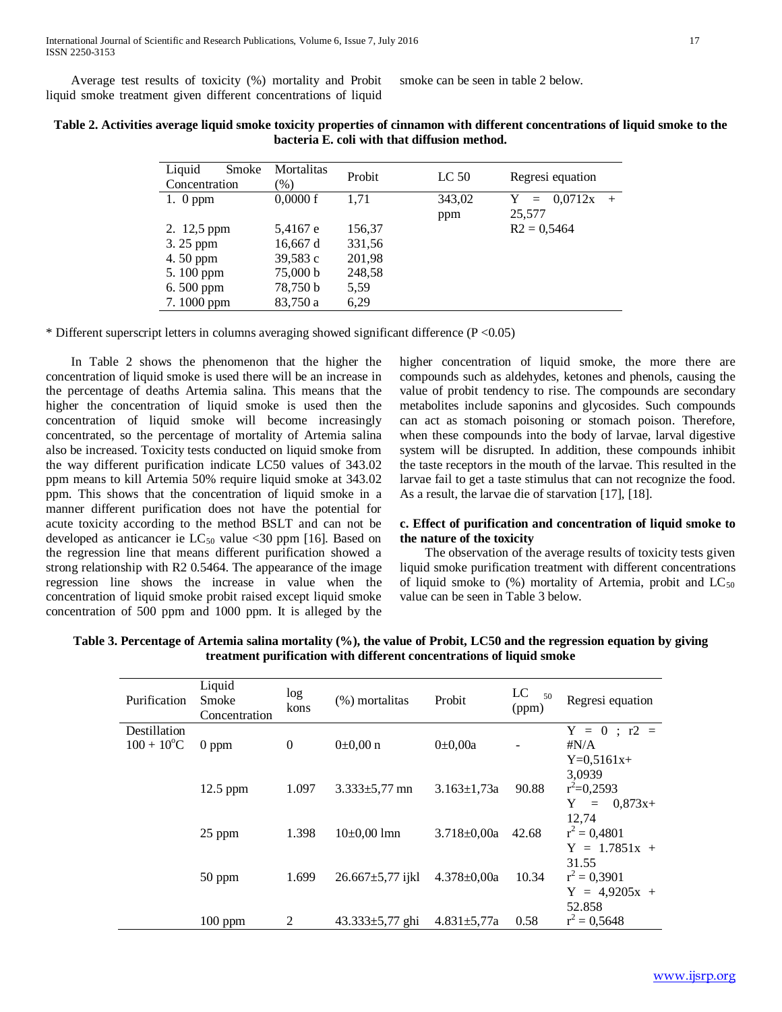Average test results of toxicity (%) mortality and Probit liquid smoke treatment given different concentrations of liquid

smoke can be seen in table 2 below.

| Liquid<br>Smoke<br>Concentration | Mortalitas<br>(%) | Probit | LC <sub>50</sub> | Regresi equation                     |
|----------------------------------|-------------------|--------|------------------|--------------------------------------|
| 1. $0$ ppm                       | 0,0000f           | 1.71   | 343,02<br>ppm    | 0.0712x<br>Y<br>$=$<br>$+$<br>25,577 |
| 2. 12,5 ppm                      | 5,4167 e          | 156,37 |                  | $R2 = 0.5464$                        |
| 3. 25 ppm                        | 16,667 d          | 331,56 |                  |                                      |
| 4.50 ppm                         | 39,583 c          | 201,98 |                  |                                      |
| 5.100 ppm                        | 75,000 b          | 248,58 |                  |                                      |
| $6.500$ ppm                      | 78,750 b          | 5.59   |                  |                                      |
| 7.1000 ppm                       | 83.750 a          | 6,29   |                  |                                      |

**Table 2. Activities average liquid smoke toxicity properties of cinnamon with different concentrations of liquid smoke to the bacteria E. coli with that diffusion method.**

\* Different superscript letters in columns averaging showed significant difference (P <0.05)

 In Table 2 shows the phenomenon that the higher the concentration of liquid smoke is used there will be an increase in the percentage of deaths Artemia salina. This means that the higher the concentration of liquid smoke is used then the concentration of liquid smoke will become increasingly concentrated, so the percentage of mortality of Artemia salina also be increased. Toxicity tests conducted on liquid smoke from the way different purification indicate LC50 values of 343.02 ppm means to kill Artemia 50% require liquid smoke at 343.02 ppm. This shows that the concentration of liquid smoke in a manner different purification does not have the potential for acute toxicity according to the method BSLT and can not be developed as anticancer ie  $LC_{50}$  value <30 ppm [16]. Based on the regression line that means different purification showed a strong relationship with R2 0.5464. The appearance of the image regression line shows the increase in value when the concentration of liquid smoke probit raised except liquid smoke concentration of 500 ppm and 1000 ppm. It is alleged by the higher concentration of liquid smoke, the more there are compounds such as aldehydes, ketones and phenols, causing the value of probit tendency to rise. The compounds are secondary metabolites include saponins and glycosides. Such compounds can act as stomach poisoning or stomach poison. Therefore, when these compounds into the body of larvae, larval digestive system will be disrupted. In addition, these compounds inhibit the taste receptors in the mouth of the larvae. This resulted in the larvae fail to get a taste stimulus that can not recognize the food. As a result, the larvae die of starvation [17], [18].

## **c. Effect of purification and concentration of liquid smoke to the nature of the toxicity**

 The observation of the average results of toxicity tests given liquid smoke purification treatment with different concentrations of liquid smoke to  $(\%)$  mortality of Artemia, probit and  $LC_{50}$ value can be seen in Table 3 below.

| Purification                              | Liquid<br>Smoke<br>Concentration | log<br>kons | (%) mortalitas         | Probit            | LC<br>50<br>(ppm) | Regresi equation                                |
|-------------------------------------------|----------------------------------|-------------|------------------------|-------------------|-------------------|-------------------------------------------------|
| Destillation<br>$100 + 10$ <sup>o</sup> C | $0$ ppm                          | $\theta$    | $0\pm 0.00$ n          | $0\pm 0,00a$      |                   | $Y = 0$ ; r2 =<br>#N/A<br>$Y=0,5161x+$          |
|                                           | $12.5$ ppm                       | 1.097       | $3.333 \pm 5.77$ mn    | $3.163 \pm 1.73a$ | 90.88             | 3,0939<br>$r^2=0,2593$<br>$0,873x+$<br>Y<br>$=$ |
|                                           | 25 ppm                           | 1.398       | $10\pm0.00$ lmn        | $3.718 \pm 0.00a$ | 42.68             | 12,74<br>$r^2 = 0,4801$<br>$Y = 1.7851x +$      |
|                                           | 50 ppm                           | 1.699       | $26.667 \pm 5,77$ ijkl | $4.378 \pm 0,00a$ | 10.34             | 31.55<br>$r^2 = 0,3901$<br>$Y = 4,9205x +$      |
|                                           | $100$ ppm                        | 2           | $43.333 \pm 5.77$ ghi  | $4.831 \pm 5.77a$ | 0.58              | 52.858<br>$r^2 = 0,5648$                        |

**Table 3. Percentage of Artemia salina mortality (%), the value of Probit, LC50 and the regression equation by giving treatment purification with different concentrations of liquid smoke**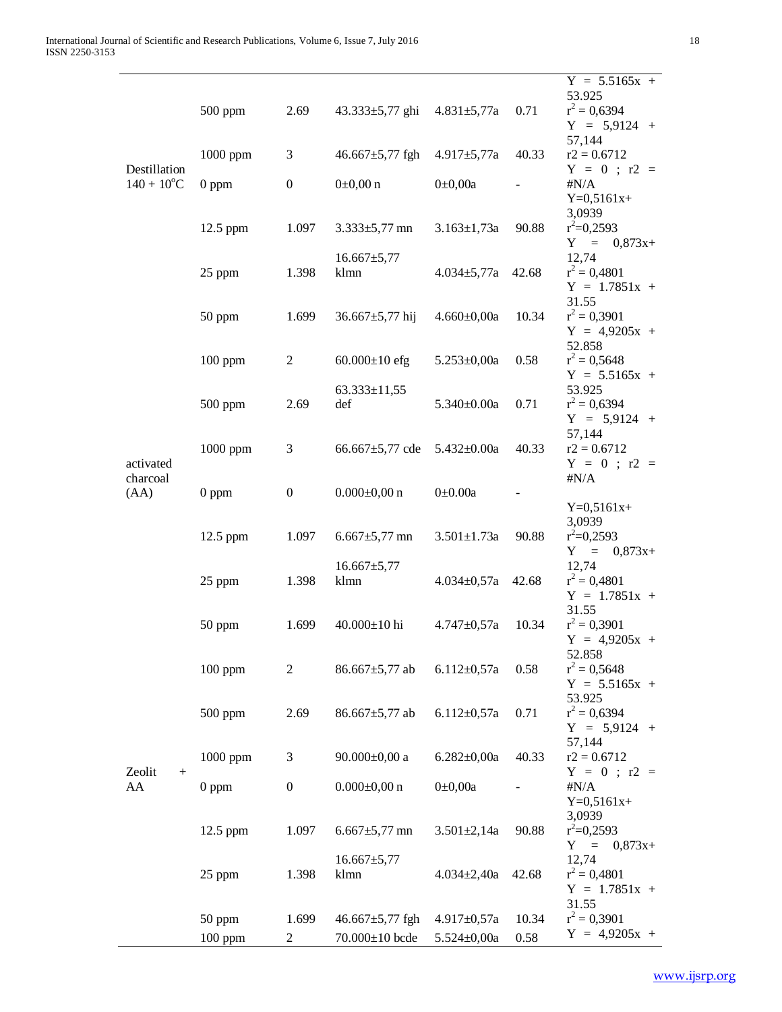|                           |            |                  |                           |                   |       | $Y = 5.5165x +$                   |
|---------------------------|------------|------------------|---------------------------|-------------------|-------|-----------------------------------|
|                           | 500 ppm    | 2.69             |                           |                   | 0.71  | 53.925<br>$r^2 = 0,6394$          |
|                           |            |                  | $43.333 \pm 5,77$ ghi     | $4.831 \pm 5,77a$ |       | $Y = 5,9124 +$                    |
|                           |            |                  |                           |                   |       | 57,144                            |
|                           | 1000 ppm   | 3                | $46.667 \pm 5,77$ fgh     | $4.917 \pm 5,77a$ | 40.33 | $r2 = 0.6712$                     |
| Destillation              |            |                  |                           |                   |       | $Y = 0$ ; r2 =                    |
| $140 + 10$ <sup>o</sup> C | $0$ ppm    | $\boldsymbol{0}$ | $0\pm 0,00$ n             | $0 \pm 0,00a$     |       | $\sharp N/A$                      |
|                           |            |                  |                           |                   |       | $Y=0,5161x+$<br>3,0939            |
|                           | 12.5 ppm   | 1.097            | $3.333 \pm 5,77$ mn       | $3.163 \pm 1,73a$ | 90.88 | $r^2=0,2593$                      |
|                           |            |                  |                           |                   |       | $Y =$<br>$0,873x+$                |
|                           |            |                  | $16.667 \pm 5,77$         |                   |       | 12,74                             |
|                           | 25 ppm     | 1.398            | klmn                      | $4.034 \pm 5,77a$ | 42.68 | $r^2 = 0,4801$                    |
|                           |            |                  |                           |                   |       | $Y = 1.7851x +$                   |
|                           |            |                  |                           |                   |       | 31.55                             |
|                           | 50 ppm     | 1.699            | 36.667 $\pm$ 5,77 hij     | $4.660 \pm 0,00a$ | 10.34 | $r^2 = 0,3901$<br>$Y = 4,9205x +$ |
|                           |            |                  |                           |                   |       | 52.858                            |
|                           | $100$ ppm  | $\overline{2}$   | $60.000 \pm 10$ efg       | $5.253 \pm 0.00a$ | 0.58  | $r^2 = 0,5648$                    |
|                           |            |                  |                           |                   |       | $Y = 5.5165x +$                   |
|                           |            |                  | $63.333 \pm 11,55$        |                   |       | 53.925                            |
|                           | $500$ ppm  | 2.69             | def                       | $5.340 \pm 0.00a$ | 0.71  | $r^2 = 0,6394$                    |
|                           |            |                  |                           |                   |       | $Y = 5,9124 +$                    |
|                           | 1000 ppm   | 3                | 66.667 $\pm$ 5,77 cde     | $5.432 \pm 0.00a$ | 40.33 | 57,144<br>$r2 = 0.6712$           |
| activated                 |            |                  |                           |                   |       | $Y = 0$ ; r2 =                    |
| charcoal                  |            |                  |                           |                   |       | $\sharp N/A$                      |
| (AA)                      | $0$ ppm    | $\boldsymbol{0}$ | $0.000 \pm 0.00$ n        | $0\pm0.00a$       |       |                                   |
|                           |            |                  |                           |                   |       | $Y=0,5161x+$                      |
|                           |            |                  |                           |                   |       | 3,0939                            |
|                           | 12.5 ppm   | 1.097            | $6.667 \pm 5,77$ mn       | $3.501 \pm 1.73a$ | 90.88 | $r^2=0,2593$<br>$= 0,873x+$<br>Y  |
|                           |            |                  | $16.667 \pm 5,77$         |                   |       | 12,74                             |
|                           | 25 ppm     | 1.398            | klmn                      | $4.034 \pm 0.57a$ | 42.68 | $r^2 = 0,4801$                    |
|                           |            |                  |                           |                   |       | $Y = 1.7851x +$                   |
|                           |            |                  |                           |                   |       | 31.55                             |
|                           | 50 ppm     | 1.699            | 40.000±10 hi              | $4.747 + 0.57a$   | 10.34 | $r^2 = 0,3901$                    |
|                           |            |                  |                           |                   |       | $Y = 4,9205x +$                   |
|                           | $100$ ppm  | 2                | 86.667±5,77 ab            | $6.112 \pm 0.57a$ | 0.58  | 52.858<br>$r^2 = 0,5648$          |
|                           |            |                  |                           |                   |       | $Y = 5.5165x +$                   |
|                           |            |                  |                           |                   |       | 53.925                            |
|                           | 500 ppm    | 2.69             | $86.667 \pm 5,77$ ab      | $6.112 \pm 0.57a$ | 0.71  | $r^2 = 0,6394$                    |
|                           |            |                  |                           |                   |       | $Y = 5,9124 +$                    |
|                           |            |                  |                           |                   |       | 57,144                            |
| Zeolit<br>$^{+}$          | 1000 ppm   | 3                | 90.000 $\pm$ 0,00 a       | $6.282 \pm 0.00a$ | 40.33 | $r2 = 0.6712$<br>$Y = 0$ ; r2 =   |
| AA                        | $0$ ppm    | $\boldsymbol{0}$ | $0.000 \pm 0,00$ n        | $0 \pm 0,00a$     |       | $\sharp N/A$                      |
|                           |            |                  |                           |                   |       | $Y=0,5161x+$                      |
|                           |            |                  |                           |                   |       | 3,0939                            |
|                           | $12.5$ ppm | 1.097            | $6.667 \pm 5,77$ mn       | $3.501 \pm 2,14a$ | 90.88 | $r^2=0,2593$                      |
|                           |            |                  |                           |                   |       | $Y =$<br>$0,873x+$                |
|                           | 25 ppm     | 1.398            | $16.667 \pm 5,77$<br>klmn | $4.034 \pm 2,40a$ | 42.68 | 12,74<br>$r^2 = 0,4801$           |
|                           |            |                  |                           |                   |       | $Y = 1.7851x +$                   |
|                           |            |                  |                           |                   |       | 31.55                             |
|                           | 50 ppm     | 1.699            | 46.667 $\pm$ 5,77 fgh     | $4.917 \pm 0.57a$ | 10.34 | $r^2 = 0,3901$                    |
|                           | $100$ ppm  | 2                | 70.000±10 bcde            | $5.524 \pm 0,00a$ | 0.58  | $Y = 4,9205x +$                   |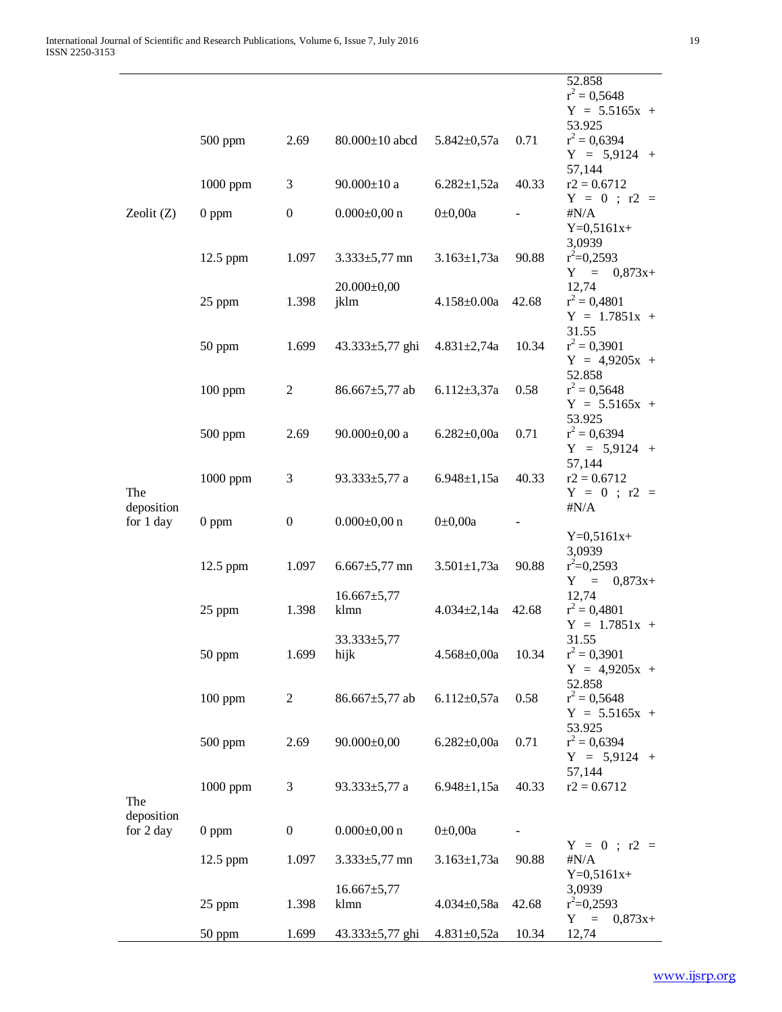|                         |            |                  |                           |                   |       | 52.858<br>$r^2 = 0,5648$<br>$Y = 5.5165x +$                     |
|-------------------------|------------|------------------|---------------------------|-------------------|-------|-----------------------------------------------------------------|
|                         | $500$ ppm  | 2.69             | $80.000 \pm 10$ abcd      | $5.842 \pm 0.57a$ | 0.71  | 53.925<br>$r^2 = 0,6394$<br>$Y = 5,9124 +$                      |
| Zeolit $(Z)$            | 1000 ppm   | 3                | $90.000 \pm 10$ a         | $6.282 \pm 1,52a$ | 40.33 | 57,144<br>$r2 = 0.6712$                                         |
|                         | $0$ ppm    | $\boldsymbol{0}$ | $0.000 \pm 0,00$ n        | $0 \pm 0,00a$     |       | $Y = 0$ ; r2 =<br># $N/A$<br>$Y=0,5161x+$                       |
|                         | 12.5 ppm   | 1.097            | $3.333 \pm 5,77$ mn       | $3.163 \pm 1,73a$ | 90.88 | 3,0939<br>$r^2=0,2593$<br>$Y =$<br>$0,873x+$                    |
|                         | 25 ppm     | 1.398            | $20.000 \pm 0,00$<br>jklm | $4.158 \pm 0.00a$ | 42.68 | 12,74<br>$r^2 = 0,4801$<br>$Y = 1.7851x +$                      |
|                         | 50 ppm     | 1.699            | $43.333 \pm 5,77$ ghi     | $4.831 \pm 2,74a$ | 10.34 | 31.55<br>$r^2 = 0,3901$<br>$Y = 4,9205x +$                      |
|                         | $100$ ppm  | 2                | $86.667 \pm 5,77$ ab      | $6.112 \pm 3.37a$ | 0.58  | 52.858<br>$r^2 = 0,5648$<br>$Y = 5.5165x +$                     |
|                         | $500$ ppm  | 2.69             | $90.000 \pm 0.00$ a       | $6.282 \pm 0.00a$ | 0.71  | 53.925<br>$r^2 = 0,6394$<br>$Y = 5,9124 +$                      |
| The                     | 1000 ppm   | 3                | 93.333 $\pm$ 5,77 a       | $6.948 \pm 1,15a$ | 40.33 | 57,144<br>$r2 = 0.6712$<br>$Y = 0$ ; r2 =                       |
| deposition<br>for 1 day | $0$ ppm    | $\boldsymbol{0}$ | $0.000 \pm 0,00$ n        | $0 \pm 0,00a$     |       | $\sharp N/A$<br>$Y=0,5161x+$                                    |
|                         | $12.5$ ppm | 1.097            | $6.667 \pm 5,77$ mn       | $3.501 \pm 1,73a$ | 90.88 | 3,0939<br>$r^2=0,2593$<br>Y<br>$\epsilon = 1$<br>$0,873x+$      |
|                         | 25 ppm     | 1.398            | $16.667 \pm 5,77$<br>klmn | $4.034 \pm 2.14a$ | 42.68 | 12,74<br>$r^2 = 0,4801$<br>$Y = 1.7851x +$                      |
|                         | 50 ppm     | 1.699            | $33.333 \pm 5,77$<br>hijk | $4.568 \pm 0,00a$ | 10.34 | 31.55<br>$r^2 = 0,3901$<br>$Y = 4,9205x +$<br>52.858            |
|                         | $100$ ppm  |                  |                           |                   |       |                                                                 |
|                         |            | 2                | $86.667 \pm 5,77$ ab      | $6.112 \pm 0.57a$ | 0.58  | $r^2 = 0,5648$<br>$Y = 5.5165x +$                               |
|                         | $500$ ppm  | 2.69             | $90.000 \pm 0,00$         | $6.282 \pm 0,00a$ | 0.71  | 53.925<br>$r^2 = 0,6394$<br>$Y = 5,9124 +$                      |
| The                     | 1000 ppm   | 3                | 93.333 $\pm$ 5,77 a       | $6.948 \pm 1,15a$ | 40.33 | 57,144<br>$r2 = 0.6712$                                         |
| deposition<br>for 2 day | $0$ ppm    | $\boldsymbol{0}$ | $0.000 \pm 0,00$ n        | $0 \pm 0,00a$     |       |                                                                 |
|                         | 12.5 ppm   | 1.097            | $3.333 \pm 5,77$ mn       | $3.163 \pm 1,73a$ | 90.88 | $Y = 0$ ; r2 =<br># $N/A$                                       |
|                         | 25 ppm     | 1.398            | $16.667 \pm 5,77$<br>klmn | $4.034 \pm 0.58a$ | 42.68 | $Y=0,5161x+$<br>3,0939<br>$r^2=0,2593$<br>Y<br>$=$<br>$0,873x+$ |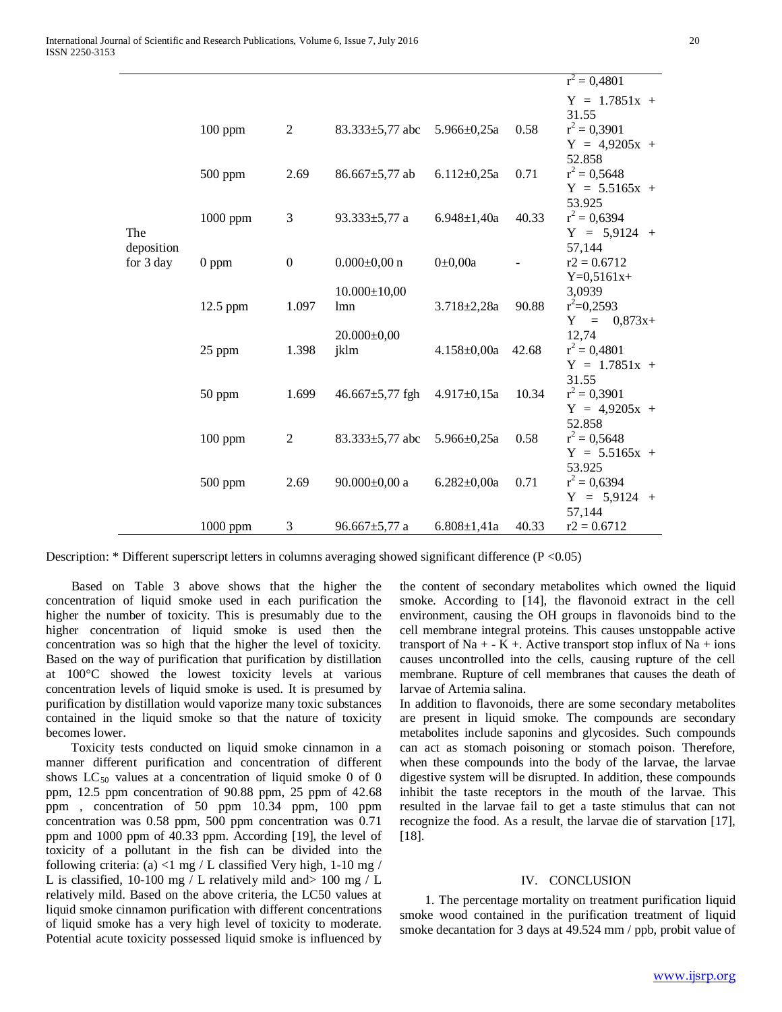|            |           |                |                       |                   |       | $r^2 = 0,4801$  |
|------------|-----------|----------------|-----------------------|-------------------|-------|-----------------|
|            |           |                |                       |                   |       | $Y = 1.7851x +$ |
|            |           |                |                       |                   |       | 31.55           |
|            | $100$ ppm | $\overline{2}$ | $83.333 \pm 5,77$ abc | $5.966 \pm 0.25a$ | 0.58  | $r^2 = 0,3901$  |
|            |           |                |                       |                   |       | $Y = 4,9205x +$ |
|            |           |                |                       |                   |       | 52.858          |
|            | $500$ ppm | 2.69           | $86.667 \pm 5,77$ ab  | $6.112 \pm 0.25a$ | 0.71  | $r^2 = 0,5648$  |
|            |           |                |                       |                   |       | $Y = 5.5165x +$ |
|            |           |                |                       |                   |       | 53.925          |
|            | 1000 ppm  | 3              | 93.333 $\pm$ 5,77 a   | $6.948 \pm 1,40a$ | 40.33 | $r^2 = 0,6394$  |
| The        |           |                |                       |                   |       | $Y = 5,9124 +$  |
| deposition |           |                |                       |                   |       | 57,144          |
| for 3 day  | $0$ ppm   | $\mathbf{0}$   | $0.000 \pm 0.00$ n    | $0 \pm 0,00a$     |       | $r2 = 0.6712$   |
|            |           |                |                       |                   |       | $Y=0,5161x+$    |
|            |           |                | $10.000 \pm 10,00$    |                   |       | 3,0939          |
|            | 12.5 ppm  | 1.097          | lmn                   | $3.718 \pm 2.28a$ | 90.88 | $r^2=0,2593$    |
|            |           |                |                       |                   |       | $Y = 0.873x+$   |
|            |           |                | $20.000 \pm 0.00$     |                   |       | 12,74           |
|            | 25 ppm    | 1.398          | jklm                  | $4.158 \pm 0,00a$ | 42.68 | $r^2 = 0,4801$  |
|            |           |                |                       |                   |       | $Y = 1.7851x +$ |
|            |           |                |                       |                   |       | 31.55           |
|            | 50 ppm    | 1.699          | $46.667 \pm 5,77$ fgh | $4.917 \pm 0.15a$ | 10.34 | $r^2 = 0,3901$  |
|            |           |                |                       |                   |       | $Y = 4,9205x +$ |
|            |           |                |                       |                   |       | 52.858          |
|            | $100$ ppm | $\overline{2}$ | $83.333 \pm 5,77$ abc | $5.966 \pm 0.25a$ | 0.58  | $r^2 = 0,5648$  |
|            |           |                |                       |                   |       | $Y = 5.5165x +$ |
|            |           |                |                       |                   |       | 53.925          |
|            | $500$ ppm | 2.69           | $90.000 \pm 0,00$ a   | $6.282 \pm 0.00a$ | 0.71  | $r^2 = 0,6394$  |
|            |           |                |                       |                   |       | $Y = 5,9124 +$  |
|            |           |                |                       |                   |       | 57,144          |
|            | 1000 ppm  | 3              | $96.667 \pm 5,77$ a   | $6.808 \pm 1,41a$ | 40.33 | $r2 = 0.6712$   |

Description: \* Different superscript letters in columns averaging showed significant difference (P <0.05)

 Based on Table 3 above shows that the higher the concentration of liquid smoke used in each purification the higher the number of toxicity. This is presumably due to the higher concentration of liquid smoke is used then the concentration was so high that the higher the level of toxicity. Based on the way of purification that purification by distillation at 100°C showed the lowest toxicity levels at various concentration levels of liquid smoke is used. It is presumed by purification by distillation would vaporize many toxic substances contained in the liquid smoke so that the nature of toxicity becomes lower.

 Toxicity tests conducted on liquid smoke cinnamon in a manner different purification and concentration of different shows  $LC_{50}$  values at a concentration of liquid smoke 0 of 0 ppm, 12.5 ppm concentration of 90.88 ppm, 25 ppm of 42.68 ppm , concentration of 50 ppm 10.34 ppm, 100 ppm concentration was 0.58 ppm, 500 ppm concentration was 0.71 ppm and 1000 ppm of 40.33 ppm. According [19], the level of toxicity of a pollutant in the fish can be divided into the following criteria: (a) <1 mg / L classified Very high,  $1-10$  mg / L is classified, 10-100 mg / L relatively mild and> 100 mg / L relatively mild. Based on the above criteria, the LC50 values at liquid smoke cinnamon purification with different concentrations of liquid smoke has a very high level of toxicity to moderate. Potential acute toxicity possessed liquid smoke is influenced by

the content of secondary metabolites which owned the liquid smoke. According to [14], the flavonoid extract in the cell environment, causing the OH groups in flavonoids bind to the cell membrane integral proteins. This causes unstoppable active transport of Na  $+$  - K  $+$ . Active transport stop influx of Na  $+$  ions causes uncontrolled into the cells, causing rupture of the cell membrane. Rupture of cell membranes that causes the death of larvae of Artemia salina.

In addition to flavonoids, there are some secondary metabolites are present in liquid smoke. The compounds are secondary metabolites include saponins and glycosides. Such compounds can act as stomach poisoning or stomach poison. Therefore, when these compounds into the body of the larvae, the larvae digestive system will be disrupted. In addition, these compounds inhibit the taste receptors in the mouth of the larvae. This resulted in the larvae fail to get a taste stimulus that can not recognize the food. As a result, the larvae die of starvation [17], [18].

#### IV. CONCLUSION

 1. The percentage mortality on treatment purification liquid smoke wood contained in the purification treatment of liquid smoke decantation for 3 days at 49.524 mm / ppb, probit value of